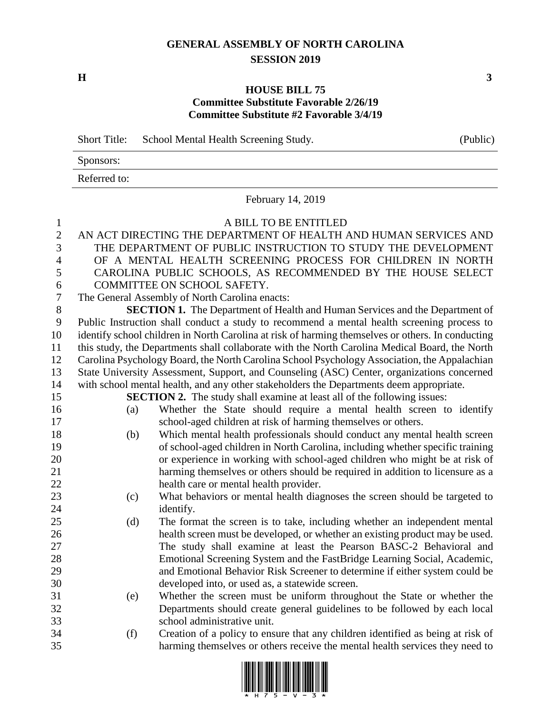## **GENERAL ASSEMBLY OF NORTH CAROLINA SESSION 2019**

**H 3**

## **HOUSE BILL 75 Committee Substitute Favorable 2/26/19 Committee Substitute #2 Favorable 3/4/19**

| <b>Short Title:</b> | School Mental Health Screening Study. | (Public) |
|---------------------|---------------------------------------|----------|
| Sponsors:           |                                       |          |
| Referred to:        |                                       |          |

February 14, 2019

## A BILL TO BE ENTITLED AN ACT DIRECTING THE DEPARTMENT OF HEALTH AND HUMAN SERVICES AND THE DEPARTMENT OF PUBLIC INSTRUCTION TO STUDY THE DEVELOPMENT OF A MENTAL HEALTH SCREENING PROCESS FOR CHILDREN IN NORTH CAROLINA PUBLIC SCHOOLS, AS RECOMMENDED BY THE HOUSE SELECT COMMITTEE ON SCHOOL SAFETY. The General Assembly of North Carolina enacts: **SECTION 1.** The Department of Health and Human Services and the Department of Public Instruction shall conduct a study to recommend a mental health screening process to identify school children in North Carolina at risk of harming themselves or others. In conducting this study, the Departments shall collaborate with the North Carolina Medical Board, the North Carolina Psychology Board, the North Carolina School Psychology Association, the Appalachian State University Assessment, Support, and Counseling (ASC) Center, organizations concerned with school mental health, and any other stakeholders the Departments deem appropriate. **SECTION 2.** The study shall examine at least all of the following issues: (a) Whether the State should require a mental health screen to identify school-aged children at risk of harming themselves or others. (b) Which mental health professionals should conduct any mental health screen of school-aged children in North Carolina, including whether specific training or experience in working with school-aged children who might be at risk of harming themselves or others should be required in addition to licensure as a health care or mental health provider. (c) What behaviors or mental health diagnoses the screen should be targeted to 24 identify. (d) The format the screen is to take, including whether an independent mental health screen must be developed, or whether an existing product may be used. The study shall examine at least the Pearson BASC-2 Behavioral and Emotional Screening System and the FastBridge Learning Social, Academic, and Emotional Behavior Risk Screener to determine if either system could be developed into, or used as, a statewide screen. (e) Whether the screen must be uniform throughout the State or whether the Departments should create general guidelines to be followed by each local school administrative unit. (f) Creation of a policy to ensure that any children identified as being at risk of harming themselves or others receive the mental health services they need to